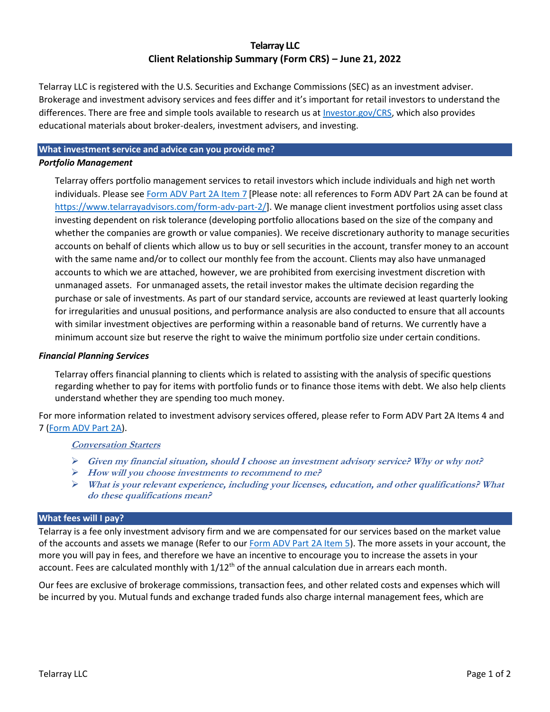## **Telarray LLC Client Relationship Summary (Form CRS) – June 21, 2022**

Telarray LLC is registered with the U.S. Securities and Exchange Commissions (SEC) as an investment adviser. Brokerage and investment advisory services and fees differ and it's important for retail investors to understand the differences. There are free and simple tools available to research us at *Investor.gov/CRS*, which also provides educational materials about broker-dealers, investment advisers, and investing.

# **What investment service and advice can you provide me?**

## *Portfolio Management*

Telarray offers portfolio management services to retail investors which include individuals and high net worth individuals. Please see [Form ADV Part 2A Item 7](https://www.telarrayadvisors.com/form-adv-part-2/) [Please note: all references to Form ADV Part 2A can be found at [https://www.telarrayadvisors.com/form-adv-part-2/\]](https://www.telarrayadvisors.com/form-adv-part-2/). We manage client investment portfolios using asset class investing dependent on risk tolerance (developing portfolio allocations based on the size of the company and whether the companies are growth or value companies). We receive discretionary authority to manage securities accounts on behalf of clients which allow us to buy or sell securities in the account, transfer money to an account with the same name and/or to collect our monthly fee from the account. Clients may also have unmanaged accounts to which we are attached, however, we are prohibited from exercising investment discretion with unmanaged assets. For unmanaged assets, the retail investor makes the ultimate decision regarding the purchase or sale of investments. As part of our standard service, accounts are reviewed at least quarterly looking for irregularities and unusual positions, and performance analysis are also conducted to ensure that all accounts with similar investment objectives are performing within a reasonable band of returns. We currently have a minimum account size but reserve the right to waive the minimum portfolio size under certain conditions.

#### *Financial Planning Services*

Telarray offers financial planning to clients which is related to assisting with the analysis of specific questions regarding whether to pay for items with portfolio funds or to finance those items with debt. We also help clients understand whether they are spending too much money.

For more information related to investment advisory services offered, please refer to Form ADV Part 2A Items 4 and 7 [\(Form ADV Part 2A\)](https://www.telarrayadvisors.com/form-adv-part-2/).

### **Conversation Starters**

- ➢ **Given my financial situation, should I choose an investment advisory service? Why or why not?**
- ➢ **How will you choose investments to recommend to me?**
- ➢ **What is your relevant experience, including your licenses, education, and other qualifications? What do these qualifications mean?**

#### **What fees will I pay?**

Telarray is a fee only investment advisory firm and we are compensated for our services based on the market value of the accounts and assets we manage (Refer to our [Form ADV Part 2A Item 5\)](https://www.telarrayadvisors.com/form-adv-part-2/). The more assets in your account, the more you will pay in fees, and therefore we have an incentive to encourage you to increase the assets in your account. Fees are calculated monthly with  $1/12<sup>th</sup>$  of the annual calculation due in arrears each month.

Our fees are exclusive of brokerage commissions, transaction fees, and other related costs and expenses which will be incurred by you. Mutual funds and exchange traded funds also charge internal management fees, which are